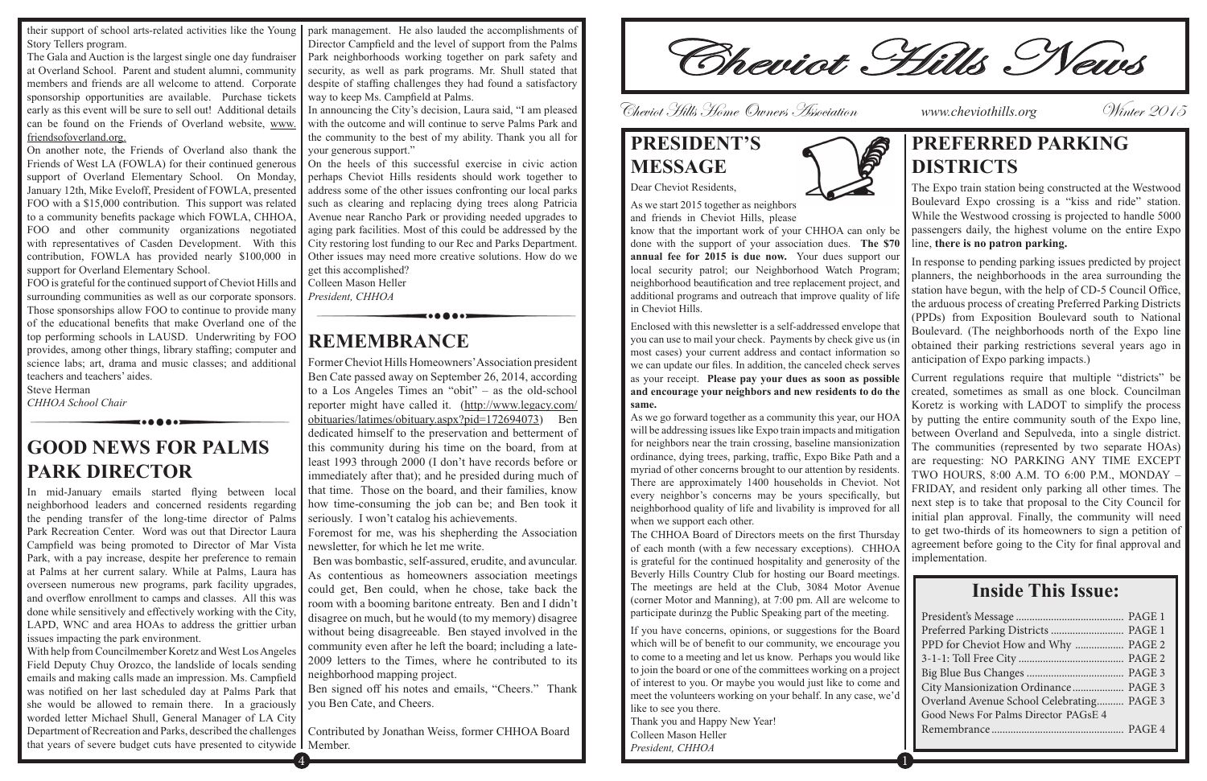Story Tellers program.

The Gala and Auction is the largest single one day fundraiser at Overland School. Parent and student alumni, community members and friends are all welcome to attend. Corporate sponsorship opportunities are available. Purchase tickets early as this event will be sure to sell out! Additional details can be found on the Friends of Overland website, www. friendsofoverland.org.

On another note, the Friends of Overland also thank the Friends of West LA (FOWLA) for their continued generous support of Overland Elementary School. On Monday, January 12th, Mike Eveloff, President of FOWLA, presented FOO with a \$15,000 contribution. This support was related to a community benefits package which FOWLA, CHHOA, FOO and other community organizations negotiated with representatives of Casden Development. With this contribution, FOWLA has provided nearly \$100,000 in support for Overland Elementary School.

FOO is grateful for the continued support of Cheviot Hills and surrounding communities as well as our corporate sponsors. Those sponsorships allow FOO to continue to provide many of the educational benefits that make Overland one of the top performing schools in LAUSD. Underwriting by FOO provides, among other things, library staffing; computer and science labs; art, drama and music classes; and additional teachers and teachers' aides.

Steve Herman *CHHOA School Chair*

their support of school arts-related activities like the Young park management. He also lauded the accomplishments of Director Campfield and the level of support from the Palms Park neighborhoods working together on park safety and security, as well as park programs. Mr. Shull stated that despite of staffing challenges they had found a satisfactory way to keep Ms. Campfield at Palms.

**GOOD NEWS FOR PALMS PARK DIRECTOR** 

In mid-January emails started flying between local neighborhood leaders and concerned residents regarding the pending transfer of the long-time director of Palms Park Recreation Center. Word was out that Director Laura Campfield was being promoted to Director of Mar Vista Park, with a pay increase, despite her preference to remain at Palms at her current salary. While at Palms, Laura has overseen numerous new programs, park facility upgrades, and overflow enrollment to camps and classes. All this was done while sensitively and effectively working with the City, LAPD, WNC and area HOAs to address the grittier urban issues impacting the park environment.

In announcing the City's decision, Laura said, "I am pleased with the outcome and will continue to serve Palms Park and the community to the best of my ability. Thank you all for your generous support."

On the heels of this successful exercise in civic action perhaps Cheviot Hills residents should work together to address some of the other issues confronting our local parks such as clearing and replacing dying trees along Patricia Avenue near Rancho Park or providing needed upgrades to aging park facilities. Most of this could be addressed by the City restoring lost funding to our Rec and Parks Department. Other issues may need more creative solutions. How do we get this accomplished?

With help from Councilmember Koretz and West Los Angeles Field Deputy Chuy Orozco, the landslide of locals sending emails and making calls made an impression. Ms. Campfield was notified on her last scheduled day at Palms Park that she would be allowed to remain there. In a graciously worded letter Michael Shull, General Manager of LA City Department of Recreation and Parks, described the challenges that years of severe budget cuts have presented to citywide Member.

Colleen Mason Heller *President, CHHOA*

### **REMEMBRANCE**

Former Cheviot Hills Homeowners'Association president Ben Cate passed away on September 26, 2014, according to a Los Angeles Times an "obit" – as the old-school reporter might have called it. (http://www.legacy.com/ obituaries/latimes/obituary.aspx?pid=172694073) Ben dedicated himself to the preservation and betterment of this community during his time on the board, from at least 1993 through 2000 (I don't have records before or immediately after that); and he presided during much of that time. Those on the board, and their families, know how time-consuming the job can be; and Ben took it seriously. I won't catalog his achievements.

Foremost for me, was his shepherding the Association newsletter, for which he let me write.

 Ben was bombastic, self-assured, erudite, and avuncular. As contentious as homeowners association meetings could get, Ben could, when he chose, take back the room with a booming baritone entreaty. Ben and I didn't disagree on much, but he would (to my memory) disagree without being disagreeable. Ben stayed involved in the community even after he left the board; including a late-2009 letters to the Times, where he contributed to its neighborhood mapping project.

Ben signed off his notes and emails, "Cheers." Thank you Ben Cate, and Cheers.

Contributed by Jonathan Weiss, former CHHOA Board

Cheviot Hills News

### **PRESIDENT'S MESSAGE** Dear Cheviot Residents,



As we start 2015 together as neighbors

and friends in Cheviot Hills, please

know that the important work of your CHHOA can only be done with the support of your association dues. **The \$70 annual fee for 2015 is due now.** Your dues support our local security patrol; our Neighborhood Watch Program; neighborhood beautification and tree replacement project, and additional programs and outreach that improve quality of life in Cheviot Hills.

Enclosed with this newsletter is a self-addressed envelope that you can use to mail your check. Payments by check give us (in most cases) your current address and contact information so we can update our files. In addition, the canceled check serves as your receipt. **Please pay your dues as soon as possible and encourage your neighbors and new residents to do the same.**

As we go forward together as a community this year, our HOA will be addressing issues like Expo train impacts and mitigation for neighbors near the train crossing, baseline mansionization ordinance, dying trees, parking, traffic, Expo Bike Path and a myriad of other concerns brought to our attention by residents. There are approximately 1400 households in Cheviot. Not every neighbor's concerns may be yours specifically, but neighborhood quality of life and livability is improved for all when we support each other.

The CHHOA Board of Directors meets on the first Thursday of each month (with a few necessary exceptions). CHHOA is grateful for the continued hospitality and generosity of the Beverly Hills Country Club for hosting our Board meetings. The meetings are held at the Club, 3084 Motor Avenue (corner Motor and Manning), at 7:00 pm. All are welcome to participate durinzg the Public Speaking part of the meeting.

If you have concerns, opinions, or suggestions for the Board which will be of benefit to our community, we encourage you to come to a meeting and let us know. Perhaps you would like to join the board or one of the committees working on a project of interest to you. Or maybe you would just like to come and meet the volunteers working on your behalf. In any case, we'd like to see you there.

Thank you and Happy New Year! Colleen Mason Heller *President, CHHOA*

 $4$  ) and the contract of the contract of the contract of  $1$ 

### **PREFERRED PARKING DISTRICTS**

The Expo train station being constructed at the Westwood Boulevard Expo crossing is a "kiss and ride" station. While the Westwood crossing is projected to handle 5000 passengers daily, the highest volume on the entire Expo line, **there is no patron parking.**

In response to pending parking issues predicted by project planners, the neighborhoods in the area surrounding the station have begun, with the help of CD-5 Council Office, the arduous process of creating Preferred Parking Districts (PPDs) from Exposition Boulevard south to National Boulevard. (The neighborhoods north of the Expo line obtained their parking restrictions several years ago in anticipation of Expo parking impacts.)

Current regulations require that multiple "districts" be created, sometimes as small as one block. Councilman Koretz is working with LADOT to simplify the process by putting the entire community south of the Expo line, between Overland and Sepulveda, into a single district. The communities (represented by two separate HOAs) are requesting: NO PARKING ANY TIME EXCEPT TWO HOURS, 8:00 A.M. TO 6:00 P.M., MONDAY – FRIDAY, and resident only parking all other times. The next step is to take that proposal to the City Council for initial plan approval. Finally, the community will need to get two-thirds of its homeowners to sign a petition of agreement before going to the City for final approval and implementation.

Cheviot Hills Home Owners Association *www.cheviothills.org* Winter 2015

### **Inside This Issue:**

| Preferred Parking Districts  PAGE 1       |  |
|-------------------------------------------|--|
| PPD for Cheviot How and Why  PAGE 2       |  |
|                                           |  |
|                                           |  |
| City Mansionization Ordinance  PAGE 3     |  |
| Overland Avenue School Celebrating PAGE 3 |  |
| Good News For Palms Director PAGsE 4      |  |
|                                           |  |
|                                           |  |